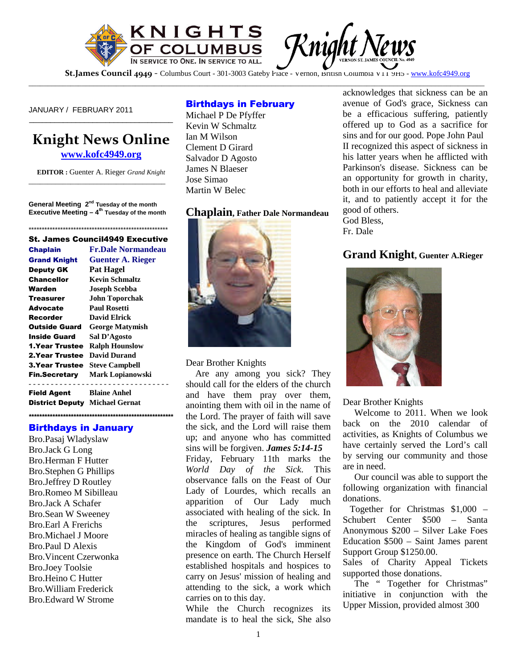

St.James Council 4949 - Columbus Court - 301-3003 Gateby Place - Vernon, British Columbia V11 9H5 - www.kofc4949.org

\_\_\_\_\_\_\_\_\_\_\_\_\_\_\_\_\_\_\_\_\_\_\_\_\_\_\_\_\_\_\_\_\_\_\_\_\_\_\_\_\_\_\_\_\_\_\_\_\_\_\_\_\_\_\_\_\_\_\_\_\_\_\_\_\_\_\_\_\_\_\_\_\_\_\_\_\_\_\_\_\_\_\_\_\_\_\_\_\_\_\_\_\_\_\_\_\_\_\_\_\_\_\_\_\_\_\_\_\_\_\_\_\_\_\_\_\_\_\_\_

JANUARY / FEBRUARY 2011

# **Knight News Online**

\_\_\_\_\_\_\_\_\_\_\_\_\_\_\_\_\_\_\_\_\_\_\_\_\_\_\_\_\_\_\_\_\_\_

**www.kofc4949.org**

**EDITOR :** Guenter A. Rieger *Grand Knight* \_\_\_\_\_\_\_\_\_\_\_\_\_\_\_\_\_\_\_\_\_\_\_\_\_\_\_\_\_\_\_\_\_\_\_\_

**General Meeting 2nd Tuesday of the month Executive Meeting – 4th Tuesday of the month**

#### \*\*\*\*\*\*\*\*\*\*\*\*\*\*\*\*\*\*\*\*\*\*\*\*\*\*\*\*\*\*\*\*\*\*\*\*\*\*\*\*\*\*\*\*\*\*\*\*\*\*\*\*\* St. James Council4949 Executive

#### Chaplain **Fr.Dale Normandeau** Grand Knight **Guenter A. Rieger**

| UUUHUI A. MUZU                                 |
|------------------------------------------------|
| Pat Hagel                                      |
| <b>Kevin Schmaltz</b>                          |
| <b>Joseph Scebba</b>                           |
| <b>John Toporchak</b>                          |
| <b>Paul Rosetti</b>                            |
| <b>David Elrick</b>                            |
| <b>George Matymish</b><br><b>Outside Guard</b> |
| Sal D'Agosto                                   |
| <b>Ralph Hounslow</b>                          |
| <b>David Durand</b>                            |
| <b>Steve Campbell</b><br><b>3.Year Trustee</b> |
| <b>Fin.Secretary</b> Mark Lopianowski          |
| <b>Blaine Anhel</b>                            |
|                                                |

District Deputy **Michael Gernat**

**\*\*\*\*\*\*\*\*\*\*\*\*\*\*\*\*\*\*\*\*\*\*\*\*\*\*\*\*\*\*\*\*\*\*\*\*\*\*\*\*\*\*\*\*\*\*\*\*\*\*\*\*\*\*\***

#### Birthdays in January

Bro.Pasaj Wladyslaw Bro.Jack G Long Bro.Herman F Hutter Bro.Stephen G Phillips Bro.Jeffrey D Routley Bro.Romeo M Sibilleau Bro.Jack A Schafer Bro.Sean W Sweeney Bro.Earl A Frerichs Bro.Michael J Moore Bro.Paul D Alexis Bro.Vincent Czerwonka Bro.Joey Toolsie Bro.Heino C Hutter Bro.William Frederick Bro.Edward W Strome

### Birthdays in February

Michael P De Pfyffer Kevin W Schmaltz Ian M Wilson Clement D Girard Salvador D Agosto James N Blaeser Jose Simao Martin W Belec

**Chaplain, Father Dale Normandeau**



Dear Brother Knights

Are any among you sick? They should call for the elders of the church and have them pray over them, anointing them with oil in the name of the Lord. The prayer of faith will save the sick, and the Lord will raise them up; and anyone who has committed sins will be forgiven. *James 5:14-15*

Friday, February 11th marks the *World Day of the Sick*. This observance falls on the Feast of Our Lady of Lourdes, which recalls an apparition of Our Lady much associated with healing of the sick. In the scriptures, Jesus performed miracles of healing as tangible signs of the Kingdom of God's imminent presence on earth. The Church Herself established hospitals and hospices to carry on Jesus' mission of healing and attending to the sick, a work which carries on to this day.

While the Church recognizes its mandate is to heal the sick, She also acknowledges that sickness can be an avenue of God's grace, Sickness can be a efficacious suffering, patiently offered up to God as a sacrifice for sins and for our good. Pope John Paul II recognized this aspect of sickness in his latter years when he afflicted with Parkinson's disease. Sickness can be an opportunity for growth in charity, both in our efforts to heal and alleviate it, and to patiently accept it for the good of others. God Bless,

Fr. Dale

### **Grand Knight, Guenter A.Rieger**



Dear Brother Knights

Welcome to 2011. When we look back on the 2010 calendar of activities, as Knights of Columbus we have certainly served the Lord's call by serving our community and those are in need.

Our council was able to support the following organization with financial donations.

Together for Christmas \$1,000 – Schubert Center \$500 – Santa Anonymous \$200 – Silver Lake Foes Education \$500 – Saint James parent Support Group \$1250.00.

Sales of Charity Appeal Tickets supported those donations.

The " Together for Christmas" initiative in conjunction with the Upper Mission, provided almost 300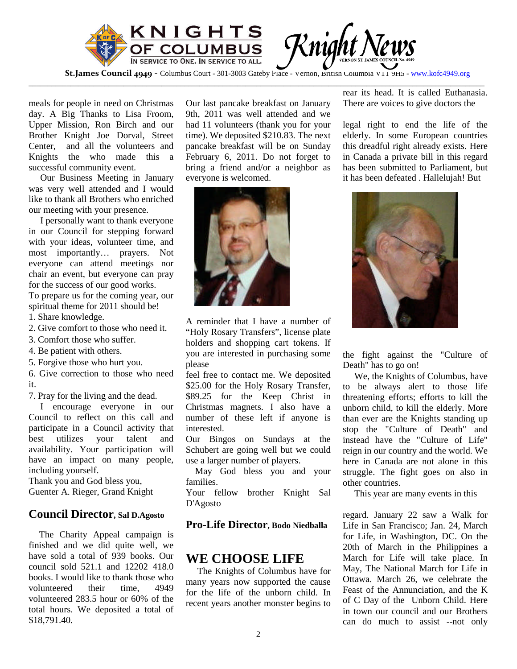

\_\_\_\_\_\_\_\_\_\_\_\_\_\_\_\_\_\_\_\_\_\_\_\_\_\_\_\_\_\_\_\_\_\_\_\_\_\_\_\_\_\_\_\_\_\_\_\_\_\_\_\_\_\_\_\_\_\_\_\_\_\_\_\_\_\_\_\_\_\_\_\_\_\_\_\_\_\_\_\_\_\_\_\_\_\_\_\_\_\_\_\_\_\_\_\_\_\_\_\_\_\_\_\_\_\_\_\_\_\_\_\_\_\_\_\_\_\_\_\_

meals for people in need on Christmas day. A Big Thanks to Lisa Froom, Upper Mission, Ron Birch and our Brother Knight Joe Dorval, Street Center, and all the volunteers and Knights the who made this a successful community event.

Our Business Meeting in January was very well attended and I would like to thank all Brothers who enriched our meeting with your presence.

I personally want to thank everyone in our Council for stepping forward with your ideas, volunteer time, and most importantly… prayers. Not everyone can attend meetings nor chair an event, but everyone can pray for the success of our good works. To prepare us for the coming year, our spiritual theme for 2011 should be! 1. Share knowledge.

- 2. Give comfort to those who need it.
- 3. Comfort those who suffer.
- 4. Be patient with others.
- 5. Forgive those who hurt you.

6. Give correction to those who need it.

7. Pray for the living and the dead.

I encourage everyone in our Council to reflect on this call and participate in a Council activity that best utilizes your talent and availability. Your participation will have an impact on many people, including yourself.

Thank you and God bless you, Guenter A. Rieger, Grand Knight

### **Council Director, Sal D.Agosto**

The Charity Appeal campaign is finished and we did quite well, we have sold a total of 939 books. Our council sold 521.1 and 12202 418.0 books. I would like to thank those who volunteered their time, 4949 volunteered 283.5 hour or 60% of the total hours. We deposited a total of \$18,791.40.

Our last pancake breakfast on January 9th, 2011 was well attended and we had 11 volunteers (thank you for your time). We deposited \$210.83. The next pancake breakfast will be on Sunday February 6, 2011. Do not forget to bring a friend and/or a neighbor as everyone is welcomed.



A reminder that I have a number of "Holy Rosary Transfers", license plate holders and shopping cart tokens. If you are interested in purchasing some please

feel free to contact me. We deposited \$25.00 for the Holy Rosary Transfer, \$89.25 for the Keep Christ in Christmas magnets. I also have a number of these left if anyone is interested.

Our Bingos on Sundays at the Schubert are going well but we could use a larger number of players.

May God bless you and your families.

Your fellow brother Knight Sal D'Agosto

### **Pro-Life Director, Bodo Niedballa**

## **WE CHOOSE LIFE**

The Knights of Columbus have for many years now supported the cause for the life of the unborn child. In recent years another monster begins to rear its head. It is called Euthanasia. There are voices to give doctors the

legal right to end the life of the elderly. In some European countries this dreadful right already exists. Here in Canada a private bill in this regard has been submitted to Parliament, but it has been defeated . Hallelujah! But



the fight against the "Culture of Death" has to go on!

We, the Knights of Columbus, have to be always alert to those life threatening efforts; efforts to kill the unborn child, to kill the elderly. More than ever are the Knights standing up stop the "Culture of Death" and instead have the "Culture of Life" reign in our country and the world. We here in Canada are not alone in this struggle. The fight goes on also in other countries.

This year are many events in this

regard. January 22 saw a Walk for Life in San Francisco; Jan. 24, March for Life, in Washington, DC. On the 20th of March in the Philippines a March for Life will take place. In May, The National March for Life in Ottawa. March 26, we celebrate the Feast of the Annunciation, and the K of C Day of the Unborn Child. Here in town our council and our Brothers can do much to assist --not only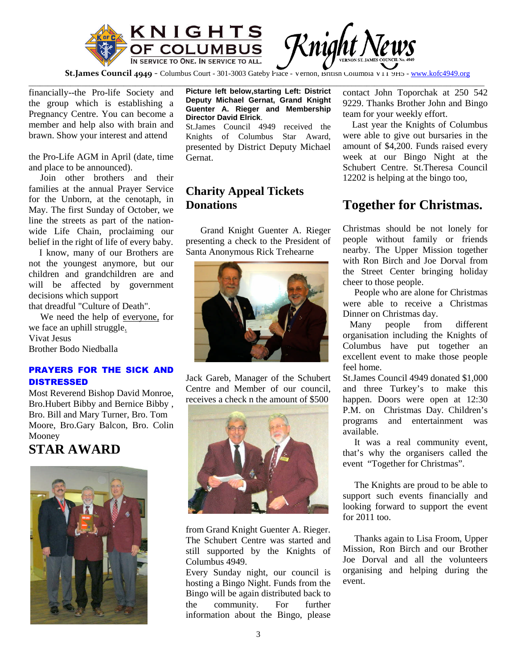

**St.James Council 4949** - Columbus Court - 301-3003 Gateby Place - Vernon, British Columbia V11 9H5 - www.kofc4949.org \_\_\_\_\_\_\_\_\_\_\_\_\_\_\_\_\_\_\_\_\_\_\_\_\_\_\_\_\_\_\_\_\_\_\_\_\_\_\_\_\_\_\_\_\_\_\_\_\_\_\_\_\_\_\_\_\_\_\_\_\_\_\_\_\_\_\_\_\_\_\_\_\_\_\_\_\_\_\_\_\_\_\_\_\_\_\_\_\_\_\_\_\_\_\_\_\_\_\_\_\_\_\_\_\_\_\_\_\_\_\_\_\_\_\_\_\_\_\_\_

financially--the Pro-life Society and the group which is establishing a Pregnancy Centre. You can become a member and help also with brain and brawn. Show your interest and attend

the Pro-Life AGM in April (date, time and place to be announced).

Join other brothers and their families at the annual Prayer Service for the Unborn, at the cenotaph, in May. The first Sunday of October, we line the streets as part of the nationwide Life Chain, proclaiming our belief in the right of life of every baby.

I know, many of our Brothers are not the youngest anymore, but our children and grandchildren are and will be affected by government decisions which support that dreadful "Culture of Death".

We need the help of everyone, for we face an uphill struggle. Vivat Jesus Brother Bodo Niedballa

#### PRAYERS FOR THE SICK AND **DISTRESSED**

Most Reverend Bishop David Monroe, Bro.Hubert Bibby and Bernice Bibby , Bro. Bill and Mary Turner, Bro. Tom Moore, Bro.Gary Balcon, Bro. Colin Mooney

# **STAR AWARD**



**Picture left below,starting Left: District Deputy Michael Gernat, Grand Knight Guenter A. Rieger and Membership Director David Elrick**.

St.James Council 4949 received the Knights of Columbus Star Award, presented by District Deputy Michael Gernat.

# **Charity Appeal Tickets Donations**

Grand Knight Guenter A. Rieger presenting a check to the President of Santa Anonymous Rick Trehearne



Jack Gareb, Manager of the Schubert Centre and Member of our council, receives a check n the amount of \$500



from Grand Knight Guenter A. Rieger. The Schubert Centre was started and still supported by the Knights of Columbus 4949.

Every Sunday night, our council is hosting a Bingo Night. Funds from the Bingo will be again distributed back to the community. For further information about the Bingo, please

contact John Toporchak at 250 542 9229. Thanks Brother John and Bingo team for your weekly effort.

Last year the Knights of Columbus were able to give out bursaries in the amount of \$4,200. Funds raised every week at our Bingo Night at the Schubert Centre. St.Theresa Council 12202 is helping at the bingo too,

# **Together for Christmas.**

Christmas should be not lonely for people without family or friends nearby. The Upper Mission together with Ron Birch and Joe Dorval from the Street Center bringing holiday cheer to those people.

People who are alone for Christmas were able to receive a Christmas Dinner on Christmas day.

Many people from different organisation including the Knights of Columbus have put together an excellent event to make those people feel home.

St.James Council 4949 donated \$1,000 and three Turkey's to make this happen. Doors were open at 12:30 P.M. on Christmas Day. Children's programs and entertainment was available.

It was a real community event, that's why the organisers called the event "Together for Christmas".

The Knights are proud to be able to support such events financially and looking forward to support the event for 2011 too.

Thanks again to Lisa Froom, Upper Mission, Ron Birch and our Brother Joe Dorval and all the volunteers organising and helping during the event.